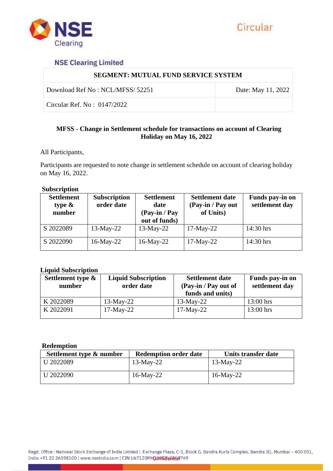

# **NSE Clearing Limited**

| <b>SEGMENT: MUTUAL FUND SERVICE SYSTEM</b> |                    |  |
|--------------------------------------------|--------------------|--|
| Download Ref No : NCL/MFSS/ 52251          | Date: May 11, 2022 |  |
| Circular Ref. No: $0147/2022$              |                    |  |

## **MFSS - Change in Settlement schedule for transactions on account of Clearing Holiday on May 16, 2022**

All Participants,

Participants are requested to note change in settlement schedule on account of clearing holiday on May 16, 2022.

#### **Subscription**

| <b>Settlement</b><br>type $\&$<br>number | <b>Subscription</b><br>order date | <b>Settlement</b><br>date<br>(Pay-in / Pay<br>out of funds) | <b>Settlement date</b><br>(Pay-in / Pay out<br>of Units) | Funds pay-in on<br>settlement day |
|------------------------------------------|-----------------------------------|-------------------------------------------------------------|----------------------------------------------------------|-----------------------------------|
| S 2022089                                | $13$ -May-22                      | $13$ -May-22                                                | $17$ -May-22                                             | 14:30 hrs                         |
| S 2022090                                | $16$ -May-22                      | $16$ -May-22                                                | $17-May-22$                                              | 14:30 hrs                         |

### **Liquid Subscription**

| Settlement type $\&$<br>number | <b>Liquid Subscription</b><br>order date | <b>Settlement date</b><br>(Pay-in / Pay out of<br>funds and units) | Funds pay-in on<br>settlement day |
|--------------------------------|------------------------------------------|--------------------------------------------------------------------|-----------------------------------|
| K 2022089                      | $13$ -May-22                             | $13$ -May-22                                                       | $13:00$ hrs                       |
| K 2022091                      | $17$ -May-22                             | $17$ -May-22                                                       | $13:00$ hrs                       |

#### **Redemption**

| Settlement type & number | <b>Redemption order date</b> | Units transfer date |
|--------------------------|------------------------------|---------------------|
| U 2022089                | $13$ -May-22                 | $13$ -May-22        |
| U 2022090                | $16$ -May-22                 | $16$ -May-22        |

Regd. Office: National Stock Exchange of India Limited | Exchange Plaza, C-1, Block G, Bandra Kurla Complex, Bandra (E), Mumbai - 400 051, India +91 22 26598100 | www.nseindia.com | CIN U67120MH100008060009769